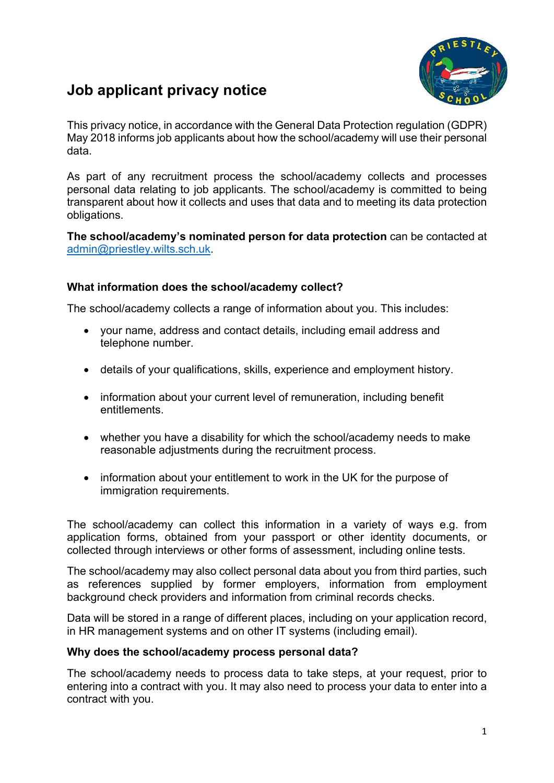# Job applicant privacy notice

This privacy notice, in accordance with the General Data Protection regulation (GDPR) May 2018 informs job applicants about how the school/academy will use their personal data.

As part of any recruitment process the school/academy collects and processes personal data relating to job applicants. The school/academy is committed to being transparent about how it collects and uses that data and to meeting its data protection obligations.

The school/academy's nominated person for data protection can be contacted at admin@priestley.wilts.sch.uk.

# What information does the school/academy collect?

The school/academy collects a range of information about you. This includes:

- your name, address and contact details, including email address and telephone number.
- details of your qualifications, skills, experience and employment history.
- information about your current level of remuneration, including benefit entitlements.
- whether you have a disability for which the school/academy needs to make reasonable adjustments during the recruitment process.
- information about your entitlement to work in the UK for the purpose of immigration requirements.

The school/academy can collect this information in a variety of ways e.g. from application forms, obtained from your passport or other identity documents, or collected through interviews or other forms of assessment, including online tests.

The school/academy may also collect personal data about you from third parties, such as references supplied by former employers, information from employment background check providers and information from criminal records checks.

Data will be stored in a range of different places, including on your application record, in HR management systems and on other IT systems (including email).

# Why does the school/academy process personal data?

The school/academy needs to process data to take steps, at your request, prior to entering into a contract with you. It may also need to process your data to enter into a contract with you.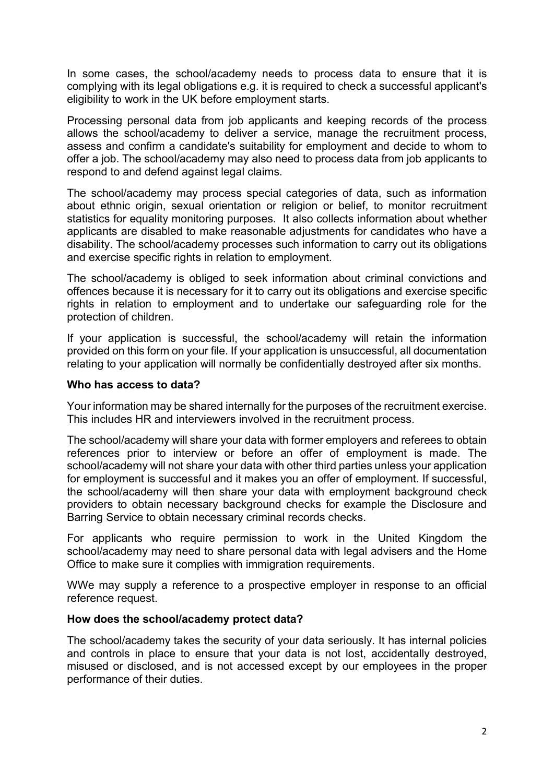In some cases, the school/academy needs to process data to ensure that it is complying with its legal obligations e.g. it is required to check a successful applicant's eligibility to work in the UK before employment starts.

Processing personal data from job applicants and keeping records of the process allows the school/academy to deliver a service, manage the recruitment process, assess and confirm a candidate's suitability for employment and decide to whom to offer a job. The school/academy may also need to process data from job applicants to respond to and defend against legal claims.

The school/academy may process special categories of data, such as information about ethnic origin, sexual orientation or religion or belief, to monitor recruitment statistics for equality monitoring purposes. It also collects information about whether applicants are disabled to make reasonable adjustments for candidates who have a disability. The school/academy processes such information to carry out its obligations and exercise specific rights in relation to employment.

The school/academy is obliged to seek information about criminal convictions and offences because it is necessary for it to carry out its obligations and exercise specific rights in relation to employment and to undertake our safeguarding role for the protection of children.

If your application is successful, the school/academy will retain the information provided on this form on your file. If your application is unsuccessful, all documentation relating to your application will normally be confidentially destroyed after six months.

### Who has access to data?

Your information may be shared internally for the purposes of the recruitment exercise. This includes HR and interviewers involved in the recruitment process.

The school/academy will share your data with former employers and referees to obtain references prior to interview or before an offer of employment is made. The school/academy will not share your data with other third parties unless your application for employment is successful and it makes you an offer of employment. If successful, the school/academy will then share your data with employment background check providers to obtain necessary background checks for example the Disclosure and Barring Service to obtain necessary criminal records checks.

For applicants who require permission to work in the United Kingdom the school/academy may need to share personal data with legal advisers and the Home Office to make sure it complies with immigration requirements.

WWe may supply a reference to a prospective employer in response to an official reference request.

### How does the school/academy protect data?

The school/academy takes the security of your data seriously. It has internal policies and controls in place to ensure that your data is not lost, accidentally destroyed, misused or disclosed, and is not accessed except by our employees in the proper performance of their duties.